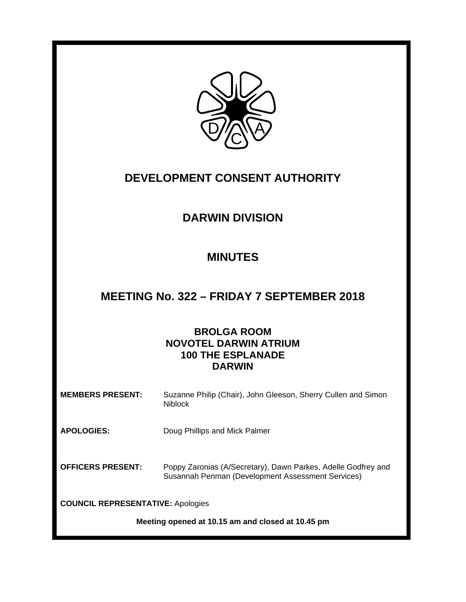

# **DEVELOPMENT CONSENT AUTHORITY**

# **DARWIN DIVISION**

# **MINUTES**

### **MEETING No. 322 – FRIDAY 7 SEPTEMBER 2018**

### **BROLGA ROOM NOVOTEL DARWIN ATRIUM 100 THE ESPLANADE DARWIN**

| <b>MEMBERS PRESENT:</b>                  | Suzanne Philip (Chair), John Gleeson, Sherry Cullen and Simon<br><b>Niblock</b>                                    |  |  |
|------------------------------------------|--------------------------------------------------------------------------------------------------------------------|--|--|
| <b>APOLOGIES:</b>                        | Doug Phillips and Mick Palmer                                                                                      |  |  |
| <b>OFFICERS PRESENT:</b>                 | Poppy Zaronias (A/Secretary), Dawn Parkes, Adelle Godfrey and<br>Susannah Penman (Development Assessment Services) |  |  |
| <b>COUNCIL REPRESENTATIVE: Apologies</b> |                                                                                                                    |  |  |

**Meeting opened at 10.15 am and closed at 10.45 pm**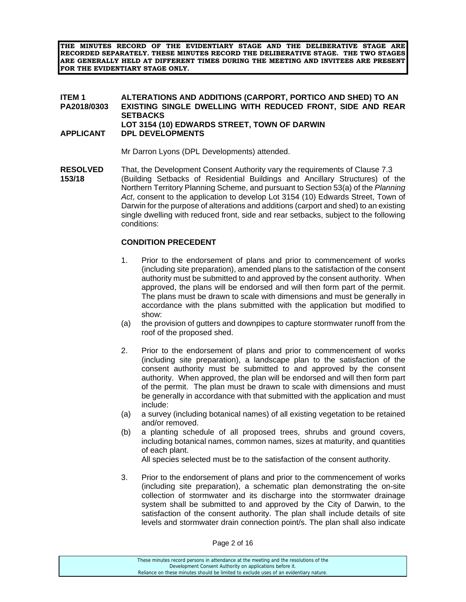**THE MINUTES RECORD OF THE EVIDENTIARY STAGE AND THE DELIBERATIVE STAGE ARE RECORDED SEPARATELY. THESE MINUTES RECORD THE DELIBERATIVE STAGE. THE TWO STAGES ARE GENERALLY HELD AT DIFFERENT TIMES DURING THE MEETING AND INVITEES ARE PRESENT FOR THE EVIDENTIARY STAGE ONLY.** 

#### **ITEM 1 ALTERATIONS AND ADDITIONS (CARPORT, PORTICO AND SHED) TO AN PA2018/0303 EXISTING SINGLE DWELLING WITH REDUCED FRONT, SIDE AND REAR SETBACKS LOT 3154 (10) EDWARDS STREET, TOWN OF DARWIN APPLICANT DPL DEVELOPMENTS**

Mr Darron Lyons (DPL Developments) attended.

**RESOLVED** That, the Development Consent Authority vary the requirements of Clause 7.3 **153/18** (Building Setbacks of Residential Buildings and Ancillary Structures) of the Northern Territory Planning Scheme, and pursuant to Section 53(a) of the *Planning Act*, consent to the application to develop Lot 3154 (10) Edwards Street, Town of Darwin for the purpose of alterations and additions (carport and shed) to an existing single dwelling with reduced front, side and rear setbacks, subject to the following conditions:

### **CONDITION PRECEDENT**

- 1. Prior to the endorsement of plans and prior to commencement of works (including site preparation), amended plans to the satisfaction of the consent authority must be submitted to and approved by the consent authority. When approved, the plans will be endorsed and will then form part of the permit. The plans must be drawn to scale with dimensions and must be generally in accordance with the plans submitted with the application but modified to show:
- (a) the provision of gutters and downpipes to capture stormwater runoff from the roof of the proposed shed.
- 2. Prior to the endorsement of plans and prior to commencement of works (including site preparation), a landscape plan to the satisfaction of the consent authority must be submitted to and approved by the consent authority. When approved, the plan will be endorsed and will then form part of the permit. The plan must be drawn to scale with dimensions and must be generally in accordance with that submitted with the application and must include:
- (a) a survey (including botanical names) of all existing vegetation to be retained and/or removed.
- (b) a planting schedule of all proposed trees, shrubs and ground covers, including botanical names, common names, sizes at maturity, and quantities of each plant.

All species selected must be to the satisfaction of the consent authority.

3. Prior to the endorsement of plans and prior to the commencement of works (including site preparation), a schematic plan demonstrating the on-site collection of stormwater and its discharge into the stormwater drainage system shall be submitted to and approved by the City of Darwin, to the satisfaction of the consent authority. The plan shall include details of site levels and stormwater drain connection point/s. The plan shall also indicate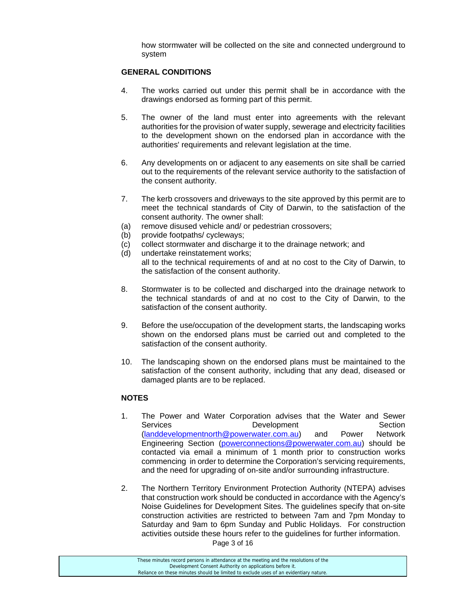how stormwater will be collected on the site and connected underground to system

#### **GENERAL CONDITIONS**

- 4. The works carried out under this permit shall be in accordance with the drawings endorsed as forming part of this permit.
- 5. The owner of the land must enter into agreements with the relevant authorities for the provision of water supply, sewerage and electricity facilities to the development shown on the endorsed plan in accordance with the authorities' requirements and relevant legislation at the time.
- 6. Any developments on or adjacent to any easements on site shall be carried out to the requirements of the relevant service authority to the satisfaction of the consent authority.
- 7. The kerb crossovers and driveways to the site approved by this permit are to meet the technical standards of City of Darwin, to the satisfaction of the consent authority. The owner shall:
- (a) remove disused vehicle and/ or pedestrian crossovers;
- (b) provide footpaths/ cycleways;
- (c) collect stormwater and discharge it to the drainage network; and
- (d) undertake reinstatement works;
	- all to the technical requirements of and at no cost to the City of Darwin, to the satisfaction of the consent authority.
- 8. Stormwater is to be collected and discharged into the drainage network to the technical standards of and at no cost to the City of Darwin, to the satisfaction of the consent authority.
- 9. Before the use/occupation of the development starts, the landscaping works shown on the endorsed plans must be carried out and completed to the satisfaction of the consent authority.
- 10. The landscaping shown on the endorsed plans must be maintained to the satisfaction of the consent authority, including that any dead, diseased or damaged plants are to be replaced.

#### **NOTES**

- 1. The Power and Water Corporation advises that the Water and Sewer Services **Development** Development Section (landdevelopmentnorth@powerwater.com.au) and Power Network Engineering Section (powerconnections@powerwater.com.au) should be contacted via email a minimum of 1 month prior to construction works commencing in order to determine the Corporation's servicing requirements, and the need for upgrading of on-site and/or surrounding infrastructure.
- 2. The Northern Territory Environment Protection Authority (NTEPA) advises that construction work should be conducted in accordance with the Agency's Noise Guidelines for Development Sites. The guidelines specify that on-site construction activities are restricted to between 7am and 7pm Monday to Saturday and 9am to 6pm Sunday and Public Holidays. For construction activities outside these hours refer to the guidelines for further information.

Page 3 of 16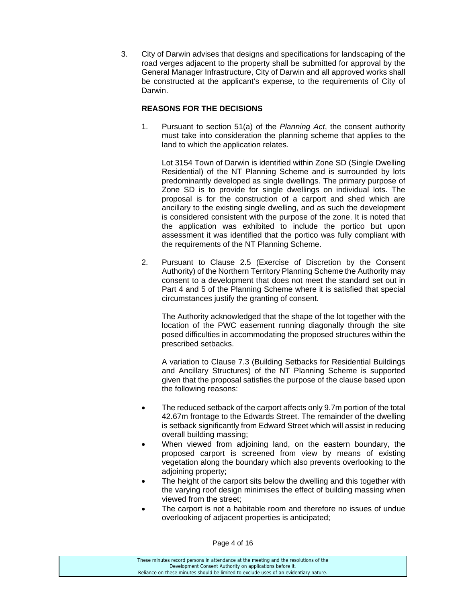3. City of Darwin advises that designs and specifications for landscaping of the road verges adjacent to the property shall be submitted for approval by the General Manager Infrastructure, City of Darwin and all approved works shall be constructed at the applicant's expense, to the requirements of City of Darwin.

#### **REASONS FOR THE DECISIONS**

1. Pursuant to section 51(a) of the *Planning Act*, the consent authority must take into consideration the planning scheme that applies to the land to which the application relates.

 Lot 3154 Town of Darwin is identified within Zone SD (Single Dwelling Residential) of the NT Planning Scheme and is surrounded by lots predominantly developed as single dwellings. The primary purpose of Zone SD is to provide for single dwellings on individual lots. The proposal is for the construction of a carport and shed which are ancillary to the existing single dwelling, and as such the development is considered consistent with the purpose of the zone. It is noted that the application was exhibited to include the portico but upon assessment it was identified that the portico was fully compliant with the requirements of the NT Planning Scheme.

2. Pursuant to Clause 2.5 (Exercise of Discretion by the Consent Authority) of the Northern Territory Planning Scheme the Authority may consent to a development that does not meet the standard set out in Part 4 and 5 of the Planning Scheme where it is satisfied that special circumstances justify the granting of consent.

The Authority acknowledged that the shape of the lot together with the location of the PWC easement running diagonally through the site posed difficulties in accommodating the proposed structures within the prescribed setbacks.

 A variation to Clause 7.3 (Building Setbacks for Residential Buildings and Ancillary Structures) of the NT Planning Scheme is supported given that the proposal satisfies the purpose of the clause based upon the following reasons:

- The reduced setback of the carport affects only 9.7m portion of the total 42.67m frontage to the Edwards Street. The remainder of the dwelling is setback significantly from Edward Street which will assist in reducing overall building massing;
- When viewed from adjoining land, on the eastern boundary, the proposed carport is screened from view by means of existing vegetation along the boundary which also prevents overlooking to the adjoining property;
- The height of the carport sits below the dwelling and this together with the varying roof design minimises the effect of building massing when viewed from the street;
- The carport is not a habitable room and therefore no issues of undue overlooking of adjacent properties is anticipated;

Page 4 of 16

| These minutes record persons in attendance at the meeting and the resolutions of the  |
|---------------------------------------------------------------------------------------|
| Development Consent Authority on applications before it.                              |
| Reliance on these minutes should be limited to exclude uses of an evidentiary nature. |
|                                                                                       |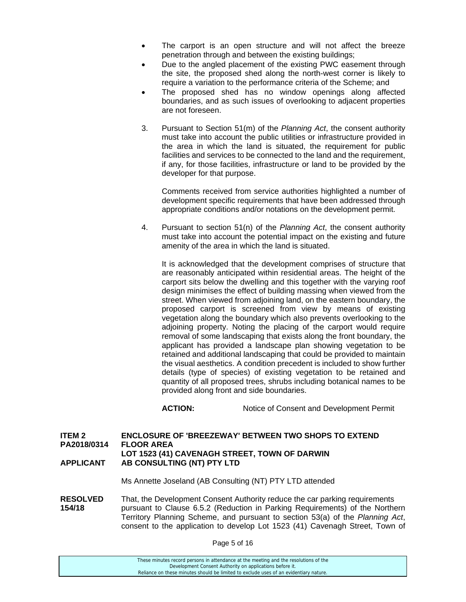- The carport is an open structure and will not affect the breeze penetration through and between the existing buildings;
- Due to the angled placement of the existing PWC easement through the site, the proposed shed along the north-west corner is likely to require a variation to the performance criteria of the Scheme; and
- The proposed shed has no window openings along affected boundaries, and as such issues of overlooking to adjacent properties are not foreseen.
- 3. Pursuant to Section 51(m) of the *Planning Act*, the consent authority must take into account the public utilities or infrastructure provided in the area in which the land is situated, the requirement for public facilities and services to be connected to the land and the requirement, if any, for those facilities, infrastructure or land to be provided by the developer for that purpose.

 Comments received from service authorities highlighted a number of development specific requirements that have been addressed through appropriate conditions and/or notations on the development permit.

4. Pursuant to section 51(n) of the *Planning Act*, the consent authority must take into account the potential impact on the existing and future amenity of the area in which the land is situated.

 It is acknowledged that the development comprises of structure that are reasonably anticipated within residential areas. The height of the carport sits below the dwelling and this together with the varying roof design minimises the effect of building massing when viewed from the street. When viewed from adjoining land, on the eastern boundary, the proposed carport is screened from view by means of existing vegetation along the boundary which also prevents overlooking to the adjoining property. Noting the placing of the carport would require removal of some landscaping that exists along the front boundary, the applicant has provided a landscape plan showing vegetation to be retained and additional landscaping that could be provided to maintain the visual aesthetics. A condition precedent is included to show further details (type of species) of existing vegetation to be retained and quantity of all proposed trees, shrubs including botanical names to be provided along front and side boundaries.

**ACTION:** Notice of Consent and Development Permit

#### **ITEM 2 ENCLOSURE OF 'BREEZEWAY' BETWEEN TWO SHOPS TO EXTEND PA2018/0314 FLOOR AREA LOT 1523 (41) CAVENAGH STREET, TOWN OF DARWIN APPLICANT AB CONSULTING (NT) PTY LTD**

Ms Annette Joseland (AB Consulting (NT) PTY LTD attended

**RESOLVED** That, the Development Consent Authority reduce the car parking requirements **154/18** pursuant to Clause 6.5.2 (Reduction in Parking Requirements) of the Northern Territory Planning Scheme, and pursuant to section 53(a) of the *Planning Act*, consent to the application to develop Lot 1523 (41) Cavenagh Street, Town of

Page 5 of 16

| These minutes record persons in attendance at the meeting and the resolutions of the  |  |
|---------------------------------------------------------------------------------------|--|
| Development Consent Authority on applications before it.                              |  |
| Reliance on these minutes should be limited to exclude uses of an evidentiary nature. |  |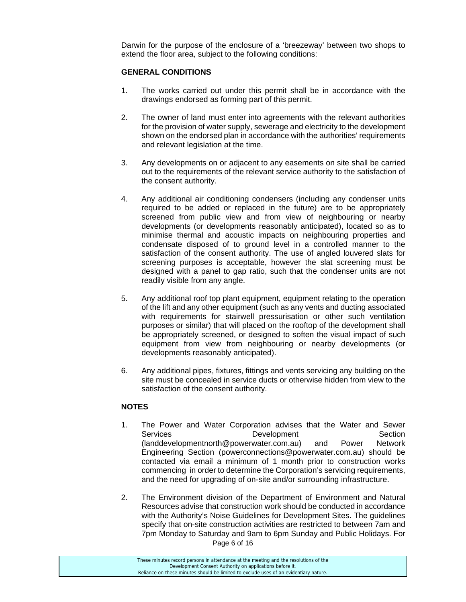Darwin for the purpose of the enclosure of a 'breezeway' between two shops to extend the floor area, subject to the following conditions:

#### **GENERAL CONDITIONS**

- 1. The works carried out under this permit shall be in accordance with the drawings endorsed as forming part of this permit.
- 2. The owner of land must enter into agreements with the relevant authorities for the provision of water supply, sewerage and electricity to the development shown on the endorsed plan in accordance with the authorities' requirements and relevant legislation at the time.
- 3. Any developments on or adjacent to any easements on site shall be carried out to the requirements of the relevant service authority to the satisfaction of the consent authority.
- 4. Any additional air conditioning condensers (including any condenser units required to be added or replaced in the future) are to be appropriately screened from public view and from view of neighbouring or nearby developments (or developments reasonably anticipated), located so as to minimise thermal and acoustic impacts on neighbouring properties and condensate disposed of to ground level in a controlled manner to the satisfaction of the consent authority. The use of angled louvered slats for screening purposes is acceptable, however the slat screening must be designed with a panel to gap ratio, such that the condenser units are not readily visible from any angle.
- 5. Any additional roof top plant equipment, equipment relating to the operation of the lift and any other equipment (such as any vents and ducting associated with requirements for stairwell pressurisation or other such ventilation purposes or similar) that will placed on the rooftop of the development shall be appropriately screened, or designed to soften the visual impact of such equipment from view from neighbouring or nearby developments (or developments reasonably anticipated).
- 6. Any additional pipes, fixtures, fittings and vents servicing any building on the site must be concealed in service ducts or otherwise hidden from view to the satisfaction of the consent authority.

#### **NOTES**

- 1. The Power and Water Corporation advises that the Water and Sewer Services **Development** Development Section (landdevelopmentnorth@powerwater.com.au) and Power Network Engineering Section (powerconnections@powerwater.com.au) should be contacted via email a minimum of 1 month prior to construction works commencing in order to determine the Corporation's servicing requirements, and the need for upgrading of on-site and/or surrounding infrastructure.
- Page 6 of 16 2. The Environment division of the Department of Environment and Natural Resources advise that construction work should be conducted in accordance with the Authority's Noise Guidelines for Development Sites. The guidelines specify that on-site construction activities are restricted to between 7am and 7pm Monday to Saturday and 9am to 6pm Sunday and Public Holidays. For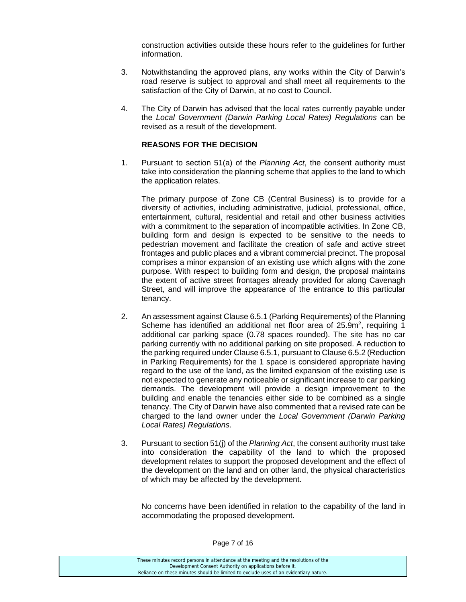construction activities outside these hours refer to the guidelines for further information.

- 3. Notwithstanding the approved plans, any works within the City of Darwin's road reserve is subject to approval and shall meet all requirements to the satisfaction of the City of Darwin, at no cost to Council.
- 4. The City of Darwin has advised that the local rates currently payable under the *Local Government (Darwin Parking Local Rates) Regulations* can be revised as a result of the development.

#### **REASONS FOR THE DECISION**

1. Pursuant to section 51(a) of the *Planning Act*, the consent authority must take into consideration the planning scheme that applies to the land to which the application relates.

The primary purpose of Zone CB (Central Business) is to provide for a diversity of activities, including administrative, judicial, professional, office, entertainment, cultural, residential and retail and other business activities with a commitment to the separation of incompatible activities. In Zone CB, building form and design is expected to be sensitive to the needs to pedestrian movement and facilitate the creation of safe and active street frontages and public places and a vibrant commercial precinct. The proposal comprises a minor expansion of an existing use which aligns with the zone purpose. With respect to building form and design, the proposal maintains the extent of active street frontages already provided for along Cavenagh Street, and will improve the appearance of the entrance to this particular tenancy.

- 2. An assessment against Clause 6.5.1 (Parking Requirements) of the Planning Scheme has identified an additional net floor area of  $25.9m^2$ , requiring 1 additional car parking space (0.78 spaces rounded). The site has no car parking currently with no additional parking on site proposed. A reduction to the parking required under Clause 6.5.1, pursuant to Clause 6.5.2 (Reduction in Parking Requirements) for the 1 space is considered appropriate having regard to the use of the land, as the limited expansion of the existing use is not expected to generate any noticeable or significant increase to car parking demands. The development will provide a design improvement to the building and enable the tenancies either side to be combined as a single tenancy. The City of Darwin have also commented that a revised rate can be charged to the land owner under the *Local Government (Darwin Parking Local Rates) Regulations*.
- 3. Pursuant to section 51(j) of the *Planning Act*, the consent authority must take into consideration the capability of the land to which the proposed development relates to support the proposed development and the effect of the development on the land and on other land, the physical characteristics of which may be affected by the development.

No concerns have been identified in relation to the capability of the land in accommodating the proposed development.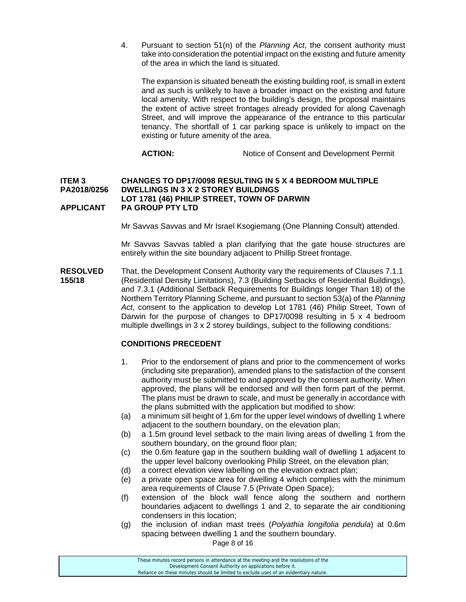4. Pursuant to section 51(n) of the *Planning Act*, the consent authority must take into consideration the potential impact on the existing and future amenity of the area in which the land is situated.

The expansion is situated beneath the existing building roof, is small in extent and as such is unlikely to have a broader impact on the existing and future local amenity. With respect to the building's design, the proposal maintains the extent of active street frontages already provided for along Cavenagh Street, and will improve the appearance of the entrance to this particular tenancy. The shortfall of 1 car parking space is unlikely to impact on the existing or future amenity of the area.

ACTION: Notice of Consent and Development Permit

#### **ITEM 3 CHANGES TO DP17/0098 RESULTING IN 5 X 4 BEDROOM MULTIPLE PA2018/0256 DWELLINGS IN 3 X 2 STOREY BUILDINGS LOT 1781 (46) PHILIP STREET, TOWN OF DARWIN APPLICANT PA GROUP PTY LTD**

Mr Savvas Savvas and Mr Israel Ksogiemang (One Planning Consult) attended.

 Mr Savvas Savvas tabled a plan clarifying that the gate house structures are entirely within the site boundary adjacent to Phillip Street frontage.

**RESOLVED** That, the Development Consent Authority vary the requirements of Clauses 7.1.1 **155/18** (Residential Density Limitations), 7.3 (Building Setbacks of Residential Buildings), and 7.3.1 (Additional Setback Requirements for Buildings longer Than 18) of the Northern Territory Planning Scheme, and pursuant to section 53(a) of the *Planning Act*, consent to the application to develop Lot 1781 (46) Philip Street, Town of Darwin for the purpose of changes to DP17/0098 resulting in 5 x 4 bedroom multiple dwellings in 3 x 2 storey buildings, subject to the following conditions:

#### **CONDITIONS PRECEDENT**

- 1. Prior to the endorsement of plans and prior to the commencement of works (including site preparation), amended plans to the satisfaction of the consent authority must be submitted to and approved by the consent authority. When approved, the plans will be endorsed and will then form part of the permit. The plans must be drawn to scale, and must be generally in accordance with the plans submitted with the application but modified to show:
- (a) a minimum sill height of 1.6m for the upper level windows of dwelling 1 where adjacent to the southern boundary, on the elevation plan;
- (b) a 1.5m ground level setback to the main living areas of dwelling 1 from the southern boundary, on the ground floor plan;
- (c) the 0.6m feature gap in the southern building wall of dwelling 1 adjacent to the upper level balcony overlooking Philip Street, on the elevation plan;
- (d) a correct elevation view labelling on the elevation extract plan;
- (e) a private open space area for dwelling 4 which complies with the minimum area requirements of Clause 7.5 (Private Open Space);
- (f) extension of the block wall fence along the southern and northern boundaries adjacent to dwellings 1 and 2, to separate the air conditioning condensers in this location;
- (g) the inclusion of indian mast trees (*Polyathia longifolia pendula*) at 0.6m spacing between dwelling 1 and the southern boundary.

Page 8 of 16

| These minutes record persons in attendance at the meeting and the resolutions of the  |
|---------------------------------------------------------------------------------------|
| Development Consent Authority on applications before it.                              |
| Reliance on these minutes should be limited to exclude uses of an evidentiary nature. |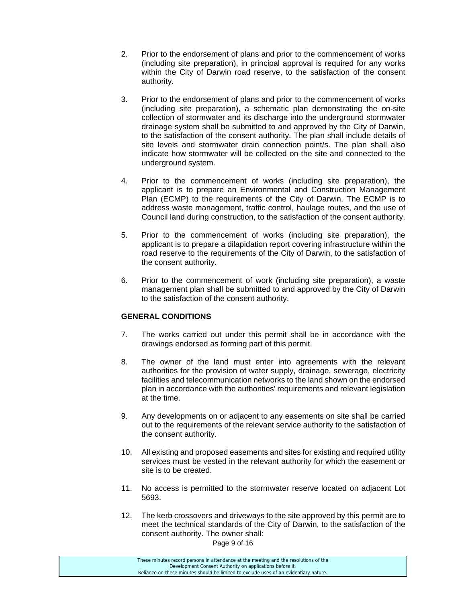- 2. Prior to the endorsement of plans and prior to the commencement of works (including site preparation), in principal approval is required for any works within the City of Darwin road reserve, to the satisfaction of the consent authority.
- 3. Prior to the endorsement of plans and prior to the commencement of works (including site preparation), a schematic plan demonstrating the on-site collection of stormwater and its discharge into the underground stormwater drainage system shall be submitted to and approved by the City of Darwin, to the satisfaction of the consent authority. The plan shall include details of site levels and stormwater drain connection point/s. The plan shall also indicate how stormwater will be collected on the site and connected to the underground system.
- 4. Prior to the commencement of works (including site preparation), the applicant is to prepare an Environmental and Construction Management Plan (ECMP) to the requirements of the City of Darwin. The ECMP is to address waste management, traffic control, haulage routes, and the use of Council land during construction, to the satisfaction of the consent authority.
- 5. Prior to the commencement of works (including site preparation), the applicant is to prepare a dilapidation report covering infrastructure within the road reserve to the requirements of the City of Darwin, to the satisfaction of the consent authority.
- 6. Prior to the commencement of work (including site preparation), a waste management plan shall be submitted to and approved by the City of Darwin to the satisfaction of the consent authority.

#### **GENERAL CONDITIONS**

- 7. The works carried out under this permit shall be in accordance with the drawings endorsed as forming part of this permit.
- 8. The owner of the land must enter into agreements with the relevant authorities for the provision of water supply, drainage, sewerage, electricity facilities and telecommunication networks to the land shown on the endorsed plan in accordance with the authorities' requirements and relevant legislation at the time.
- 9. Any developments on or adjacent to any easements on site shall be carried out to the requirements of the relevant service authority to the satisfaction of the consent authority.
- 10. All existing and proposed easements and sites for existing and required utility services must be vested in the relevant authority for which the easement or site is to be created.
- 11. No access is permitted to the stormwater reserve located on adjacent Lot 5693.
- 12. The kerb crossovers and driveways to the site approved by this permit are to meet the technical standards of the City of Darwin, to the satisfaction of the consent authority. The owner shall:

Page 9 of 16

| These minutes record persons in attendance at the meeting and the resolutions of the  |
|---------------------------------------------------------------------------------------|
| Development Consent Authority on applications before it.                              |
| Reliance on these minutes should be limited to exclude uses of an evidentiary nature. |
|                                                                                       |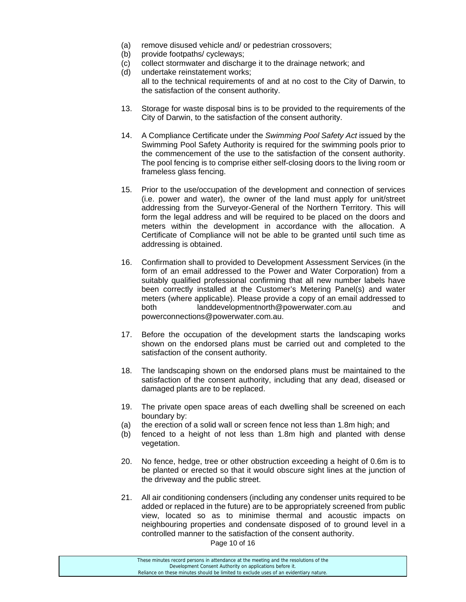- (a) remove disused vehicle and/ or pedestrian crossovers;
- (b) provide footpaths/ cycleways;
- (c) collect stormwater and discharge it to the drainage network; and
- (d) undertake reinstatement works; all to the technical requirements of and at no cost to the City of Darwin, to the satisfaction of the consent authority.
- 13. Storage for waste disposal bins is to be provided to the requirements of the City of Darwin, to the satisfaction of the consent authority.
- 14. A Compliance Certificate under the *Swimming Pool Safety Act* issued by the Swimming Pool Safety Authority is required for the swimming pools prior to the commencement of the use to the satisfaction of the consent authority. The pool fencing is to comprise either self-closing doors to the living room or frameless glass fencing.
- 15. Prior to the use/occupation of the development and connection of services (i.e. power and water), the owner of the land must apply for unit/street addressing from the Surveyor-General of the Northern Territory. This will form the legal address and will be required to be placed on the doors and meters within the development in accordance with the allocation. A Certificate of Compliance will not be able to be granted until such time as addressing is obtained.
- 16. Confirmation shall to provided to Development Assessment Services (in the form of an email addressed to the Power and Water Corporation) from a suitably qualified professional confirming that all new number labels have been correctly installed at the Customer's Metering Panel(s) and water meters (where applicable). Please provide a copy of an email addressed to both landdevelopmentnorth@powerwater.com.au and powerconnections@powerwater.com.au.
- 17. Before the occupation of the development starts the landscaping works shown on the endorsed plans must be carried out and completed to the satisfaction of the consent authority.
- 18. The landscaping shown on the endorsed plans must be maintained to the satisfaction of the consent authority, including that any dead, diseased or damaged plants are to be replaced.
- 19. The private open space areas of each dwelling shall be screened on each boundary by:
- (a) the erection of a solid wall or screen fence not less than 1.8m high; and
- (b) fenced to a height of not less than 1.8m high and planted with dense vegetation.
- 20. No fence, hedge, tree or other obstruction exceeding a height of 0.6m is to be planted or erected so that it would obscure sight lines at the junction of the driveway and the public street.
- 21. All air conditioning condensers (including any condenser units required to be added or replaced in the future) are to be appropriately screened from public view, located so as to minimise thermal and acoustic impacts on neighbouring properties and condensate disposed of to ground level in a controlled manner to the satisfaction of the consent authority.

Page 10 of 16

| These minutes record persons in attendance at the meeting and the resolutions of the  |  |
|---------------------------------------------------------------------------------------|--|
| Development Consent Authority on applications before it.                              |  |
| Reliance on these minutes should be limited to exclude uses of an evidentiary nature. |  |
|                                                                                       |  |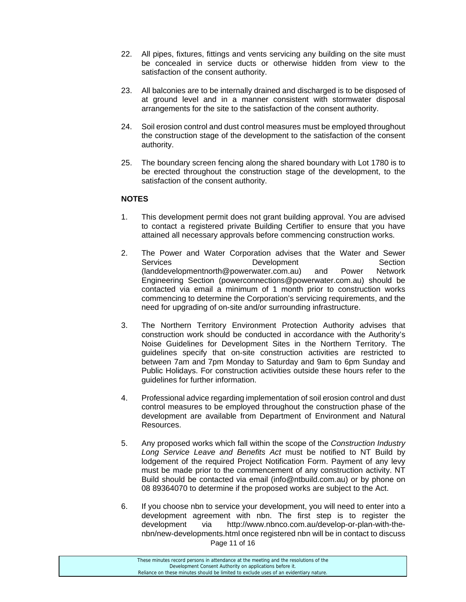- 22. All pipes, fixtures, fittings and vents servicing any building on the site must be concealed in service ducts or otherwise hidden from view to the satisfaction of the consent authority.
- 23. All balconies are to be internally drained and discharged is to be disposed of at ground level and in a manner consistent with stormwater disposal arrangements for the site to the satisfaction of the consent authority.
- 24. Soil erosion control and dust control measures must be employed throughout the construction stage of the development to the satisfaction of the consent authority.
- 25. The boundary screen fencing along the shared boundary with Lot 1780 is to be erected throughout the construction stage of the development, to the satisfaction of the consent authority.

#### **NOTES**

- 1. This development permit does not grant building approval. You are advised to contact a registered private Building Certifier to ensure that you have attained all necessary approvals before commencing construction works.
- 2. The Power and Water Corporation advises that the Water and Sewer Services **Development** Development Section (landdevelopmentnorth@powerwater.com.au) and Power Network Engineering Section (powerconnections@powerwater.com.au) should be contacted via email a minimum of 1 month prior to construction works commencing to determine the Corporation's servicing requirements, and the need for upgrading of on-site and/or surrounding infrastructure.
- 3. The Northern Territory Environment Protection Authority advises that construction work should be conducted in accordance with the Authority's Noise Guidelines for Development Sites in the Northern Territory. The guidelines specify that on-site construction activities are restricted to between 7am and 7pm Monday to Saturday and 9am to 6pm Sunday and Public Holidays. For construction activities outside these hours refer to the guidelines for further information.
- 4. Professional advice regarding implementation of soil erosion control and dust control measures to be employed throughout the construction phase of the development are available from Department of Environment and Natural Resources.
- 5. Any proposed works which fall within the scope of the *Construction Industry Long Service Leave and Benefits Act* must be notified to NT Build by lodgement of the required Project Notification Form. Payment of any levy must be made prior to the commencement of any construction activity. NT Build should be contacted via email (info@ntbuild.com.au) or by phone on 08 89364070 to determine if the proposed works are subject to the Act.
- Page 11 of 16 6. If you choose nbn to service your development, you will need to enter into a development agreement with nbn. The first step is to register the development via http://www.nbnco.com.au/develop-or-plan-with-thenbn/new-developments.html once registered nbn will be in contact to discuss

These minutes record persons in attendance at the meeting and the resolutions of the Development Consent Authority on applications before it. Reliance on these minutes should be limited to exclude uses of an evidentiary nature.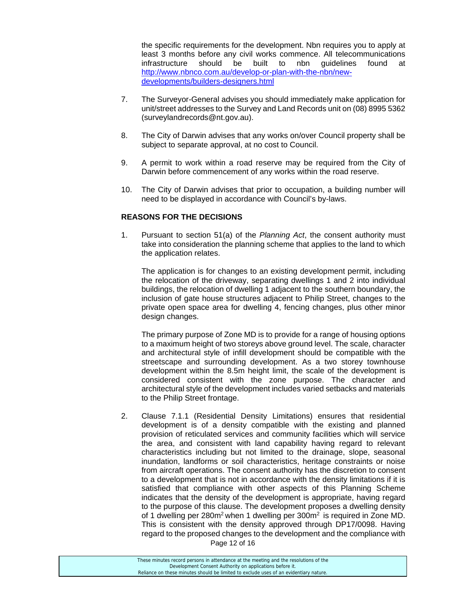the specific requirements for the development. Nbn requires you to apply at least 3 months before any civil works commence. All telecommunications infrastructure should be built to nbn guidelines found at http://www.nbnco.com.au/develop-or-plan-with-the-nbn/newdevelopments/builders-designers.html

- 7. The Surveyor-General advises you should immediately make application for unit/street addresses to the Survey and Land Records unit on (08) 8995 5362 (surveylandrecords@nt.gov.au).
- 8. The City of Darwin advises that any works on/over Council property shall be subject to separate approval, at no cost to Council.
- 9. A permit to work within a road reserve may be required from the City of Darwin before commencement of any works within the road reserve.
- 10. The City of Darwin advises that prior to occupation, a building number will need to be displayed in accordance with Council's by-laws.

#### **REASONS FOR THE DECISIONS**

1. Pursuant to section 51(a) of the *Planning Act*, the consent authority must take into consideration the planning scheme that applies to the land to which the application relates.

The application is for changes to an existing development permit, including the relocation of the driveway, separating dwellings 1 and 2 into individual buildings, the relocation of dwelling 1 adjacent to the southern boundary, the inclusion of gate house structures adjacent to Philip Street, changes to the private open space area for dwelling 4, fencing changes, plus other minor design changes.

 The primary purpose of Zone MD is to provide for a range of housing options to a maximum height of two storeys above ground level. The scale, character and architectural style of infill development should be compatible with the streetscape and surrounding development. As a two storey townhouse development within the 8.5m height limit, the scale of the development is considered consistent with the zone purpose. The character and architectural style of the development includes varied setbacks and materials to the Philip Street frontage.

2. Clause 7.1.1 (Residential Density Limitations) ensures that residential development is of a density compatible with the existing and planned provision of reticulated services and community facilities which will service the area, and consistent with land capability having regard to relevant characteristics including but not limited to the drainage, slope, seasonal inundation, landforms or soil characteristics, heritage constraints or noise from aircraft operations. The consent authority has the discretion to consent to a development that is not in accordance with the density limitations if it is satisfied that compliance with other aspects of this Planning Scheme indicates that the density of the development is appropriate, having regard to the purpose of this clause. The development proposes a dwelling density of 1 dwelling per  $280m^2$  when 1 dwelling per  $300m^2$  is required in Zone MD. This is consistent with the density approved through DP17/0098. Having regard to the proposed changes to the development and the compliance with

Page 12 of 16

| These minutes record persons in attendance at the meeting and the resolutions of the  |  |
|---------------------------------------------------------------------------------------|--|
| Development Consent Authority on applications before it.                              |  |
| Reliance on these minutes should be limited to exclude uses of an evidentiary nature. |  |
|                                                                                       |  |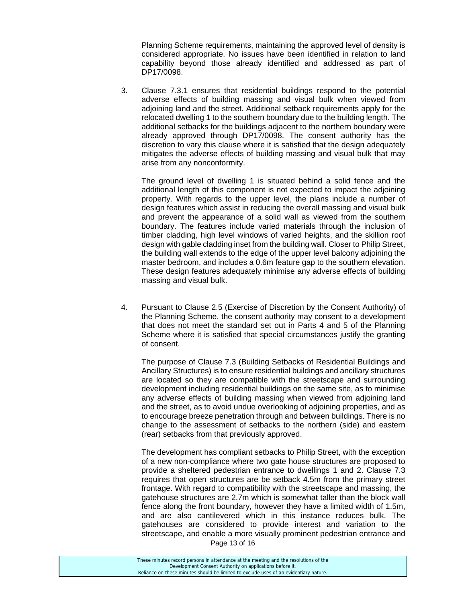Planning Scheme requirements, maintaining the approved level of density is considered appropriate. No issues have been identified in relation to land capability beyond those already identified and addressed as part of DP17/0098.

3. Clause 7.3.1 ensures that residential buildings respond to the potential adverse effects of building massing and visual bulk when viewed from adjoining land and the street. Additional setback requirements apply for the relocated dwelling 1 to the southern boundary due to the building length. The additional setbacks for the buildings adjacent to the northern boundary were already approved through DP17/0098. The consent authority has the discretion to vary this clause where it is satisfied that the design adequately mitigates the adverse effects of building massing and visual bulk that may arise from any nonconformity.

 The ground level of dwelling 1 is situated behind a solid fence and the additional length of this component is not expected to impact the adjoining property. With regards to the upper level, the plans include a number of design features which assist in reducing the overall massing and visual bulk and prevent the appearance of a solid wall as viewed from the southern boundary. The features include varied materials through the inclusion of timber cladding, high level windows of varied heights, and the skillion roof design with gable cladding inset from the building wall. Closer to Philip Street, the building wall extends to the edge of the upper level balcony adjoining the master bedroom, and includes a 0.6m feature gap to the southern elevation. These design features adequately minimise any adverse effects of building massing and visual bulk.

4. Pursuant to Clause 2.5 (Exercise of Discretion by the Consent Authority) of the Planning Scheme, the consent authority may consent to a development that does not meet the standard set out in Parts 4 and 5 of the Planning Scheme where it is satisfied that special circumstances justify the granting of consent.

 The purpose of Clause 7.3 (Building Setbacks of Residential Buildings and Ancillary Structures) is to ensure residential buildings and ancillary structures are located so they are compatible with the streetscape and surrounding development including residential buildings on the same site, as to minimise any adverse effects of building massing when viewed from adjoining land and the street, as to avoid undue overlooking of adjoining properties, and as to encourage breeze penetration through and between buildings. There is no change to the assessment of setbacks to the northern (side) and eastern (rear) setbacks from that previously approved.

 The development has compliant setbacks to Philip Street, with the exception of a new non-compliance where two gate house structures are proposed to provide a sheltered pedestrian entrance to dwellings 1 and 2. Clause 7.3 requires that open structures are be setback 4.5m from the primary street frontage. With regard to compatibility with the streetscape and massing, the gatehouse structures are 2.7m which is somewhat taller than the block wall fence along the front boundary, however they have a limited width of 1.5m, and are also cantilevered which in this instance reduces bulk. The gatehouses are considered to provide interest and variation to the streetscape, and enable a more visually prominent pedestrian entrance and

Page 13 of 16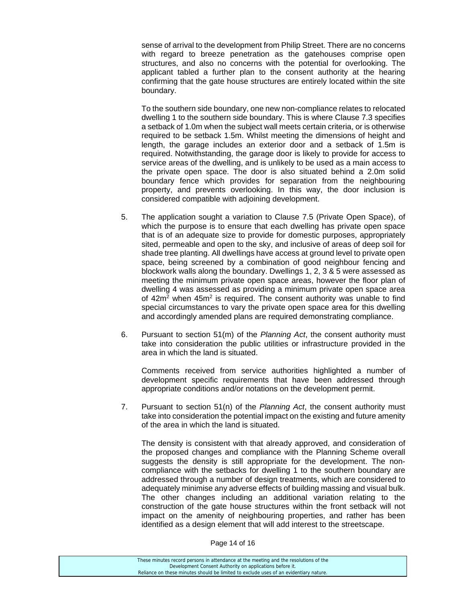sense of arrival to the development from Philip Street. There are no concerns with regard to breeze penetration as the gatehouses comprise open structures, and also no concerns with the potential for overlooking. The applicant tabled a further plan to the consent authority at the hearing confirming that the gate house structures are entirely located within the site boundary.

 To the southern side boundary, one new non-compliance relates to relocated dwelling 1 to the southern side boundary. This is where Clause 7.3 specifies a setback of 1.0m when the subject wall meets certain criteria, or is otherwise required to be setback 1.5m. Whilst meeting the dimensions of height and length, the garage includes an exterior door and a setback of 1.5m is required. Notwithstanding, the garage door is likely to provide for access to service areas of the dwelling, and is unlikely to be used as a main access to the private open space. The door is also situated behind a 2.0m solid boundary fence which provides for separation from the neighbouring property, and prevents overlooking. In this way, the door inclusion is considered compatible with adjoining development.

- 5. The application sought a variation to Clause 7.5 (Private Open Space), of which the purpose is to ensure that each dwelling has private open space that is of an adequate size to provide for domestic purposes, appropriately sited, permeable and open to the sky, and inclusive of areas of deep soil for shade tree planting. All dwellings have access at ground level to private open space, being screened by a combination of good neighbour fencing and blockwork walls along the boundary. Dwellings 1, 2, 3 & 5 were assessed as meeting the minimum private open space areas, however the floor plan of dwelling 4 was assessed as providing a minimum private open space area of  $42m^2$  when  $45m^2$  is required. The consent authority was unable to find special circumstances to vary the private open space area for this dwelling and accordingly amended plans are required demonstrating compliance.
- 6. Pursuant to section 51(m) of the *Planning Act*, the consent authority must take into consideration the public utilities or infrastructure provided in the area in which the land is situated.

Comments received from service authorities highlighted a number of development specific requirements that have been addressed through appropriate conditions and/or notations on the development permit.

7. Pursuant to section 51(n) of the *Planning Act*, the consent authority must take into consideration the potential impact on the existing and future amenity of the area in which the land is situated.

The density is consistent with that already approved, and consideration of the proposed changes and compliance with the Planning Scheme overall suggests the density is still appropriate for the development. The noncompliance with the setbacks for dwelling 1 to the southern boundary are addressed through a number of design treatments, which are considered to adequately minimise any adverse effects of building massing and visual bulk. The other changes including an additional variation relating to the construction of the gate house structures within the front setback will not impact on the amenity of neighbouring properties, and rather has been identified as a design element that will add interest to the streetscape.

Page 14 of 16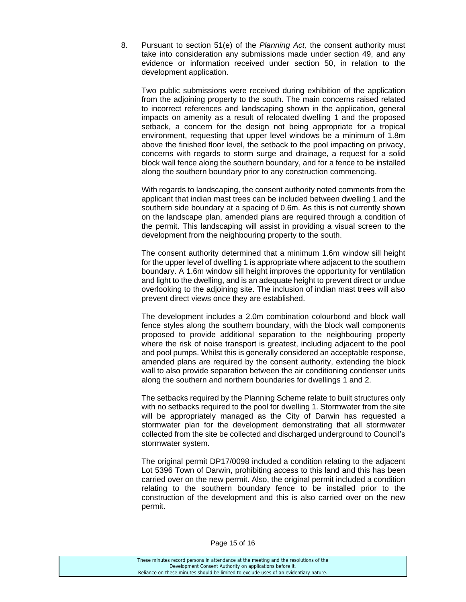8. Pursuant to section 51(e) of the *Planning Act,* the consent authority must take into consideration any submissions made under section 49, and any evidence or information received under section 50, in relation to the development application.

Two public submissions were received during exhibition of the application from the adjoining property to the south. The main concerns raised related to incorrect references and landscaping shown in the application, general impacts on amenity as a result of relocated dwelling 1 and the proposed setback, a concern for the design not being appropriate for a tropical environment, requesting that upper level windows be a minimum of 1.8m above the finished floor level, the setback to the pool impacting on privacy, concerns with regards to storm surge and drainage, a request for a solid block wall fence along the southern boundary, and for a fence to be installed along the southern boundary prior to any construction commencing.

With regards to landscaping, the consent authority noted comments from the applicant that indian mast trees can be included between dwelling 1 and the southern side boundary at a spacing of 0.6m. As this is not currently shown on the landscape plan, amended plans are required through a condition of the permit. This landscaping will assist in providing a visual screen to the development from the neighbouring property to the south.

The consent authority determined that a minimum 1.6m window sill height for the upper level of dwelling 1 is appropriate where adjacent to the southern boundary. A 1.6m window sill height improves the opportunity for ventilation and light to the dwelling, and is an adequate height to prevent direct or undue overlooking to the adjoining site. The inclusion of indian mast trees will also prevent direct views once they are established.

The development includes a 2.0m combination colourbond and block wall fence styles along the southern boundary, with the block wall components proposed to provide additional separation to the neighbouring property where the risk of noise transport is greatest, including adjacent to the pool and pool pumps. Whilst this is generally considered an acceptable response, amended plans are required by the consent authority, extending the block wall to also provide separation between the air conditioning condenser units along the southern and northern boundaries for dwellings 1 and 2.

The setbacks required by the Planning Scheme relate to built structures only with no setbacks required to the pool for dwelling 1. Stormwater from the site will be appropriately managed as the City of Darwin has requested a stormwater plan for the development demonstrating that all stormwater collected from the site be collected and discharged underground to Council's stormwater system.

The original permit DP17/0098 included a condition relating to the adjacent Lot 5396 Town of Darwin, prohibiting access to this land and this has been carried over on the new permit. Also, the original permit included a condition relating to the southern boundary fence to be installed prior to the construction of the development and this is also carried over on the new permit.